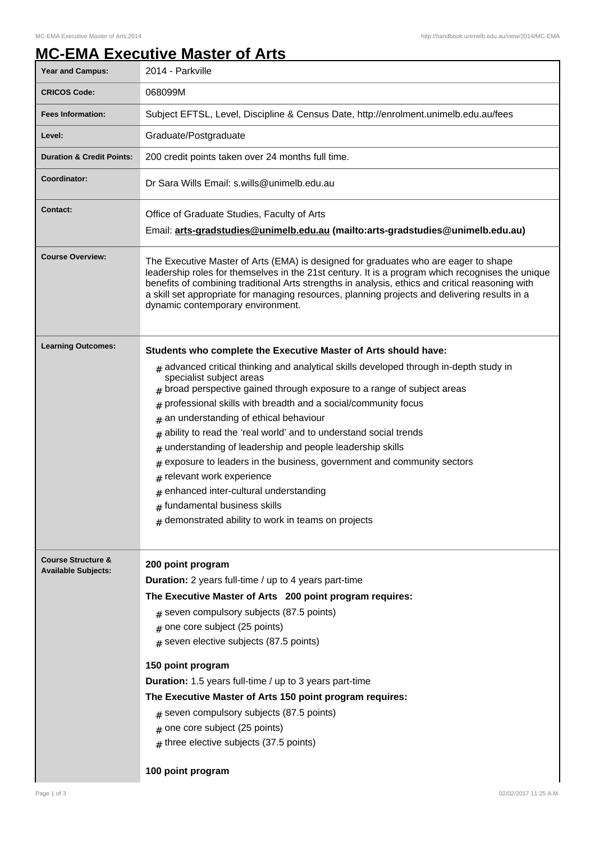## **MC-EMA Executive Master of Arts**

| <b>Year and Campus:</b>                                     | 2014 - Parkville                                                                                                                                                                                                                                                                                                                                                                                                                                                                                                                                                                                                                                                                                                                                                                            |
|-------------------------------------------------------------|---------------------------------------------------------------------------------------------------------------------------------------------------------------------------------------------------------------------------------------------------------------------------------------------------------------------------------------------------------------------------------------------------------------------------------------------------------------------------------------------------------------------------------------------------------------------------------------------------------------------------------------------------------------------------------------------------------------------------------------------------------------------------------------------|
| <b>CRICOS Code:</b>                                         | 068099M                                                                                                                                                                                                                                                                                                                                                                                                                                                                                                                                                                                                                                                                                                                                                                                     |
| <b>Fees Information:</b>                                    | Subject EFTSL, Level, Discipline & Census Date, http://enrolment.unimelb.edu.au/fees                                                                                                                                                                                                                                                                                                                                                                                                                                                                                                                                                                                                                                                                                                        |
| Level:                                                      | Graduate/Postgraduate                                                                                                                                                                                                                                                                                                                                                                                                                                                                                                                                                                                                                                                                                                                                                                       |
| <b>Duration &amp; Credit Points:</b>                        | 200 credit points taken over 24 months full time.                                                                                                                                                                                                                                                                                                                                                                                                                                                                                                                                                                                                                                                                                                                                           |
| Coordinator:                                                | Dr Sara Wills Email: s.wills@unimelb.edu.au                                                                                                                                                                                                                                                                                                                                                                                                                                                                                                                                                                                                                                                                                                                                                 |
| <b>Contact:</b>                                             | Office of Graduate Studies, Faculty of Arts<br>Email: arts-gradstudies@unimelb.edu.au (mailto: arts-gradstudies@unimelb.edu.au)                                                                                                                                                                                                                                                                                                                                                                                                                                                                                                                                                                                                                                                             |
| <b>Course Overview:</b>                                     | The Executive Master of Arts (EMA) is designed for graduates who are eager to shape<br>leadership roles for themselves in the 21st century. It is a program which recognises the unique<br>benefits of combining traditional Arts strengths in analysis, ethics and critical reasoning with<br>a skill set appropriate for managing resources, planning projects and delivering results in a<br>dynamic contemporary environment.                                                                                                                                                                                                                                                                                                                                                           |
| <b>Learning Outcomes:</b>                                   | Students who complete the Executive Master of Arts should have:<br>$#$ advanced critical thinking and analytical skills developed through in-depth study in<br>specialist subject areas<br>broad perspective gained through exposure to a range of subject areas<br>#<br>professional skills with breadth and a social/community focus<br>#<br>an understanding of ethical behaviour<br>#<br>ability to read the 'real world' and to understand social trends<br>#<br>understanding of leadership and people leadership skills<br>#<br>exposure to leaders in the business, government and community sectors<br>#<br>relevant work experience<br>#<br>$#$ enhanced inter-cultural understanding<br>$#$ fundamental business skills<br>$#$ demonstrated ability to work in teams on projects |
| <b>Course Structure &amp;</b><br><b>Available Subjects:</b> | 200 point program<br><b>Duration:</b> 2 years full-time / up to 4 years part-time<br>The Executive Master of Arts 200 point program requires:<br>$#$ seven compulsory subjects (87.5 points)<br>$#$ one core subject (25 points)<br>$#$ seven elective subjects (87.5 points)<br>150 point program<br><b>Duration:</b> 1.5 years full-time / up to 3 years part-time<br>The Executive Master of Arts 150 point program requires:<br># seven compulsory subjects (87.5 points)<br>$#$ one core subject (25 points)<br>$#$ three elective subjects (37.5 points)<br>100 point program                                                                                                                                                                                                         |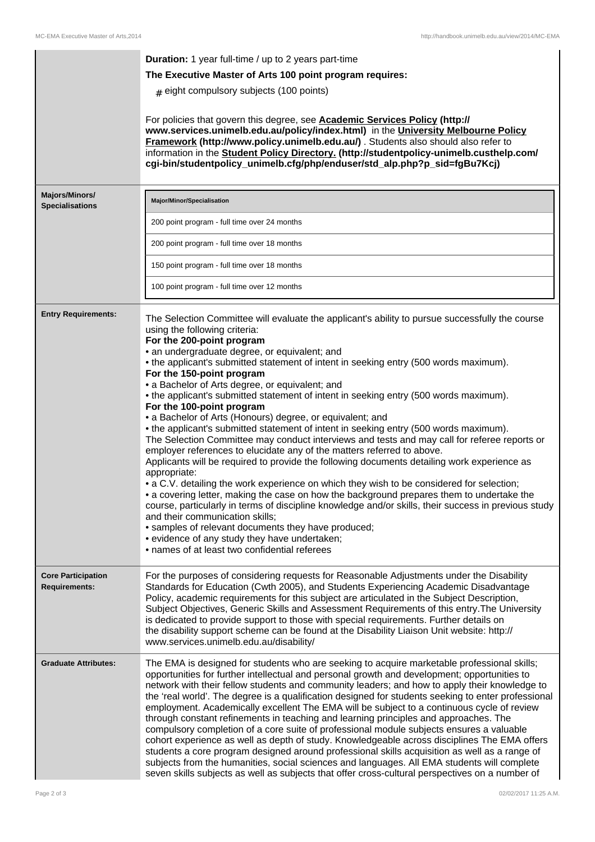|                                                   | <b>Duration:</b> 1 year full-time / up to 2 years part-time<br>The Executive Master of Arts 100 point program requires:<br>$#$ eight compulsory subjects (100 points)<br>For policies that govern this degree, see <b>Academic Services Policy (http://</b><br>www.services.unimelb.edu.au/policy/index.html) in the University Melbourne Policy<br>Framework (http://www.policy.unimelb.edu.au/). Students also should also refer to<br>information in the Student Policy Directory. (http://studentpolicy-unimelb.custhelp.com/<br>cgi-bin/studentpolicy_unimelb.cfg/php/enduser/std_alp.php?p_sid=fgBu7Kcj)                                                                                                                                                                                                                                                                                                                                                                                                                                                                                                                                                                                                                                                                                                                                                                                                                                             |
|---------------------------------------------------|------------------------------------------------------------------------------------------------------------------------------------------------------------------------------------------------------------------------------------------------------------------------------------------------------------------------------------------------------------------------------------------------------------------------------------------------------------------------------------------------------------------------------------------------------------------------------------------------------------------------------------------------------------------------------------------------------------------------------------------------------------------------------------------------------------------------------------------------------------------------------------------------------------------------------------------------------------------------------------------------------------------------------------------------------------------------------------------------------------------------------------------------------------------------------------------------------------------------------------------------------------------------------------------------------------------------------------------------------------------------------------------------------------------------------------------------------------|
| Majors/Minors/<br><b>Specialisations</b>          | Major/Minor/Specialisation                                                                                                                                                                                                                                                                                                                                                                                                                                                                                                                                                                                                                                                                                                                                                                                                                                                                                                                                                                                                                                                                                                                                                                                                                                                                                                                                                                                                                                 |
|                                                   | 200 point program - full time over 24 months                                                                                                                                                                                                                                                                                                                                                                                                                                                                                                                                                                                                                                                                                                                                                                                                                                                                                                                                                                                                                                                                                                                                                                                                                                                                                                                                                                                                               |
|                                                   | 200 point program - full time over 18 months                                                                                                                                                                                                                                                                                                                                                                                                                                                                                                                                                                                                                                                                                                                                                                                                                                                                                                                                                                                                                                                                                                                                                                                                                                                                                                                                                                                                               |
|                                                   | 150 point program - full time over 18 months                                                                                                                                                                                                                                                                                                                                                                                                                                                                                                                                                                                                                                                                                                                                                                                                                                                                                                                                                                                                                                                                                                                                                                                                                                                                                                                                                                                                               |
|                                                   | 100 point program - full time over 12 months                                                                                                                                                                                                                                                                                                                                                                                                                                                                                                                                                                                                                                                                                                                                                                                                                                                                                                                                                                                                                                                                                                                                                                                                                                                                                                                                                                                                               |
| <b>Entry Requirements:</b>                        | The Selection Committee will evaluate the applicant's ability to pursue successfully the course<br>using the following criteria:<br>For the 200-point program<br>· an undergraduate degree, or equivalent; and<br>• the applicant's submitted statement of intent in seeking entry (500 words maximum).<br>For the 150-point program<br>• a Bachelor of Arts degree, or equivalent; and<br>• the applicant's submitted statement of intent in seeking entry (500 words maximum).<br>For the 100-point program<br>• a Bachelor of Arts (Honours) degree, or equivalent; and<br>• the applicant's submitted statement of intent in seeking entry (500 words maximum).<br>The Selection Committee may conduct interviews and tests and may call for referee reports or<br>employer references to elucidate any of the matters referred to above.<br>Applicants will be required to provide the following documents detailing work experience as<br>appropriate:<br>• a C.V. detailing the work experience on which they wish to be considered for selection;<br>• a covering letter, making the case on how the background prepares them to undertake the<br>course, particularly in terms of discipline knowledge and/or skills, their success in previous study<br>and their communication skills;<br>• samples of relevant documents they have produced;<br>• evidence of any study they have undertaken;<br>• names of at least two confidential referees |
| <b>Core Participation</b><br><b>Requirements:</b> | For the purposes of considering requests for Reasonable Adjustments under the Disability<br>Standards for Education (Cwth 2005), and Students Experiencing Academic Disadvantage<br>Policy, academic requirements for this subject are articulated in the Subject Description,<br>Subject Objectives, Generic Skills and Assessment Requirements of this entry. The University<br>is dedicated to provide support to those with special requirements. Further details on<br>the disability support scheme can be found at the Disability Liaison Unit website: http://<br>www.services.unimelb.edu.au/disability/                                                                                                                                                                                                                                                                                                                                                                                                                                                                                                                                                                                                                                                                                                                                                                                                                                          |
| <b>Graduate Attributes:</b>                       | The EMA is designed for students who are seeking to acquire marketable professional skills;<br>opportunities for further intellectual and personal growth and development; opportunities to<br>network with their fellow students and community leaders; and how to apply their knowledge to<br>the 'real world'. The degree is a qualification designed for students seeking to enter professional<br>employment. Academically excellent The EMA will be subject to a continuous cycle of review<br>through constant refinements in teaching and learning principles and approaches. The<br>compulsory completion of a core suite of professional module subjects ensures a valuable<br>cohort experience as well as depth of study. Knowledgeable across disciplines The EMA offers<br>students a core program designed around professional skills acquisition as well as a range of<br>subjects from the humanities, social sciences and languages. All EMA students will complete<br>seven skills subjects as well as subjects that offer cross-cultural perspectives on a number of                                                                                                                                                                                                                                                                                                                                                                   |